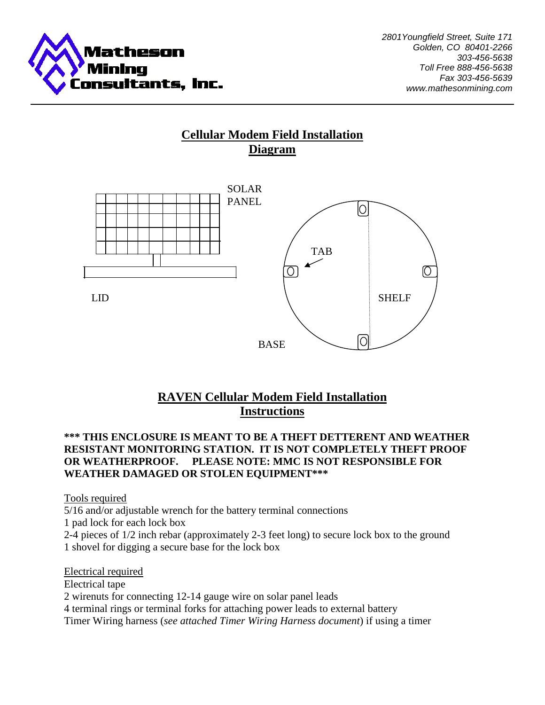

# **Cellular Modem Field Installation Diagram**



# **RAVEN Cellular Modem Field Installation Instructions**

## **\*\*\* THIS ENCLOSURE IS MEANT TO BE A THEFT DETTERENT AND WEATHER RESISTANT MONITORING STATION. IT IS NOT COMPLETELY THEFT PROOF OR WEATHERPROOF. PLEASE NOTE: MMC IS NOT RESPONSIBLE FOR WEATHER DAMAGED OR STOLEN EQUIPMENT\*\*\***

Tools required

5/16 and/or adjustable wrench for the battery terminal connections

1 pad lock for each lock box

2-4 pieces of 1/2 inch rebar (approximately 2-3 feet long) to secure lock box to the ground 1 shovel for digging a secure base for the lock box

Electrical required Electrical tape 2 wirenuts for connecting 12-14 gauge wire on solar panel leads 4 terminal rings or terminal forks for attaching power leads to external battery Timer Wiring harness (*see attached Timer Wiring Harness document*) if using a timer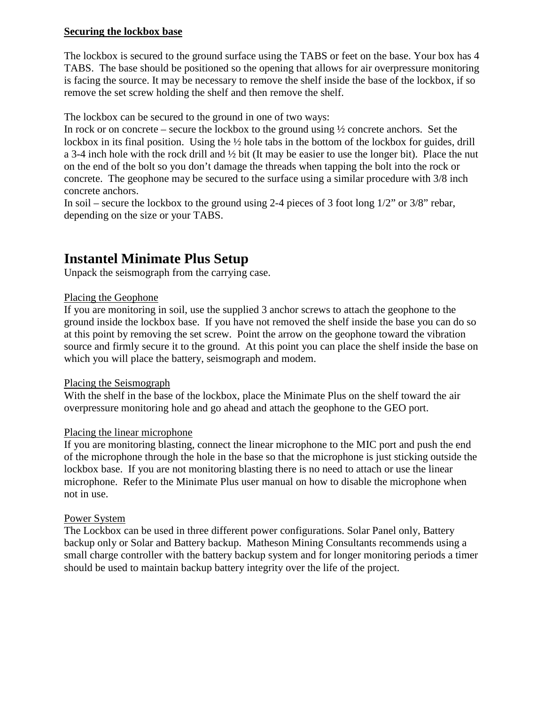## **Securing the lockbox base**

The lockbox is secured to the ground surface using the TABS or feet on the base. Your box has 4 TABS. The base should be positioned so the opening that allows for air overpressure monitoring is facing the source. It may be necessary to remove the shelf inside the base of the lockbox, if so remove the set screw holding the shelf and then remove the shelf.

The lockbox can be secured to the ground in one of two ways:

In rock or on concrete – secure the lockbox to the ground using  $\frac{1}{2}$  concrete anchors. Set the lockbox in its final position. Using the ½ hole tabs in the bottom of the lockbox for guides, drill a 3-4 inch hole with the rock drill and ½ bit (It may be easier to use the longer bit). Place the nut on the end of the bolt so you don't damage the threads when tapping the bolt into the rock or concrete. The geophone may be secured to the surface using a similar procedure with 3/8 inch concrete anchors.

In soil – secure the lockbox to the ground using 2-4 pieces of 3 foot long 1/2" or 3/8" rebar, depending on the size or your TABS.

# **Instantel Minimate Plus Setup**

Unpack the seismograph from the carrying case.

#### Placing the Geophone

If you are monitoring in soil, use the supplied 3 anchor screws to attach the geophone to the ground inside the lockbox base. If you have not removed the shelf inside the base you can do so at this point by removing the set screw. Point the arrow on the geophone toward the vibration source and firmly secure it to the ground. At this point you can place the shelf inside the base on which you will place the battery, seismograph and modem.

#### Placing the Seismograph

With the shelf in the base of the lockbox, place the Minimate Plus on the shelf toward the air overpressure monitoring hole and go ahead and attach the geophone to the GEO port.

#### Placing the linear microphone

If you are monitoring blasting, connect the linear microphone to the MIC port and push the end of the microphone through the hole in the base so that the microphone is just sticking outside the lockbox base. If you are not monitoring blasting there is no need to attach or use the linear microphone. Refer to the Minimate Plus user manual on how to disable the microphone when not in use.

#### Power System

The Lockbox can be used in three different power configurations. Solar Panel only, Battery backup only or Solar and Battery backup. Matheson Mining Consultants recommends using a small charge controller with the battery backup system and for longer monitoring periods a timer should be used to maintain backup battery integrity over the life of the project.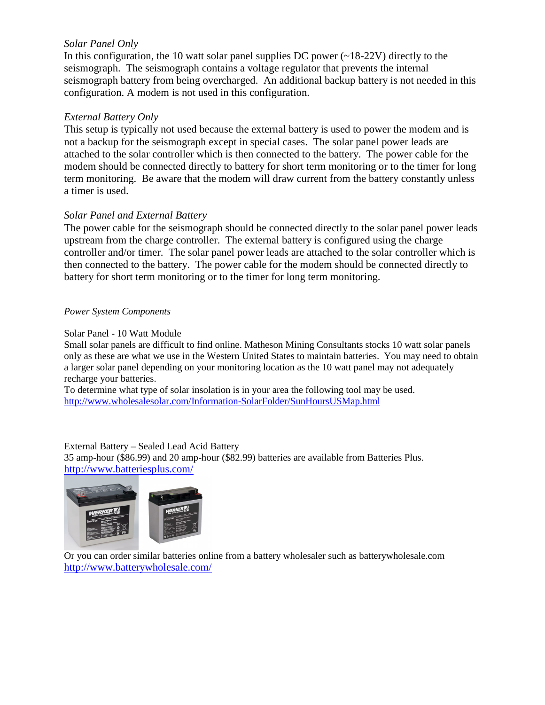## *Solar Panel Only*

In this configuration, the 10 watt solar panel supplies DC power  $(-18-22V)$  directly to the seismograph. The seismograph contains a voltage regulator that prevents the internal seismograph battery from being overcharged. An additional backup battery is not needed in this configuration. A modem is not used in this configuration.

## *External Battery Only*

This setup is typically not used because the external battery is used to power the modem and is not a backup for the seismograph except in special cases. The solar panel power leads are attached to the solar controller which is then connected to the battery. The power cable for the modem should be connected directly to battery for short term monitoring or to the timer for long term monitoring. Be aware that the modem will draw current from the battery constantly unless a timer is used.

## *Solar Panel and External Battery*

The power cable for the seismograph should be connected directly to the solar panel power leads upstream from the charge controller. The external battery is configured using the charge controller and/or timer. The solar panel power leads are attached to the solar controller which is then connected to the battery. The power cable for the modem should be connected directly to battery for short term monitoring or to the timer for long term monitoring.

#### *Power System Components*

#### Solar Panel - 10 Watt Module

Small solar panels are difficult to find online. Matheson Mining Consultants stocks 10 watt solar panels only as these are what we use in the Western United States to maintain batteries. You may need to obtain a larger solar panel depending on your monitoring location as the 10 watt panel may not adequately recharge your batteries.

To determine what type of solar insolation is in your area the following tool may be used. http://www.wholesalesolar.com/Information-SolarFolder/SunHoursUSMap.html

External Battery – Sealed Lead Acid Battery 35 amp-hour (\$86.99) and 20 amp-hour (\$82.99) batteries are available from Batteries Plus. http://www.batteriesplus.com/



Or you can order similar batteries online from a battery wholesaler such as batterywholesale.com http://www.batterywholesale.com/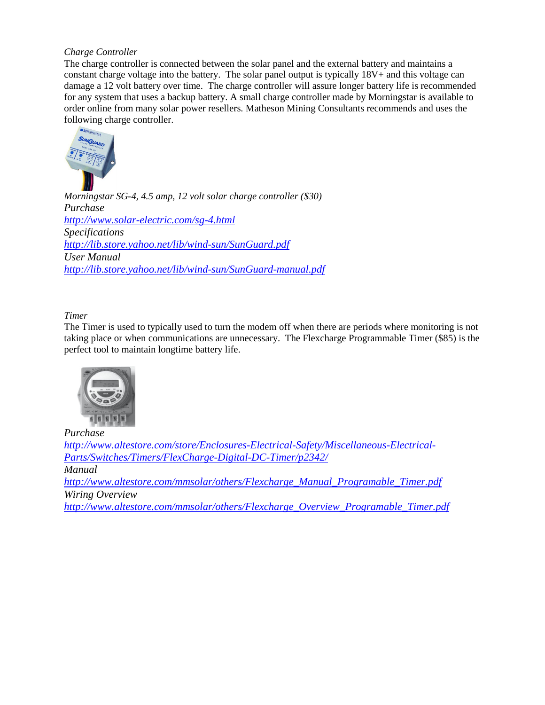#### *Charge Controller*

The charge controller is connected between the solar panel and the external battery and maintains a constant charge voltage into the battery. The solar panel output is typically 18V+ and this voltage can damage a 12 volt battery over time. The charge controller will assure longer battery life is recommended for any system that uses a backup battery. A small charge controller made by Morningstar is available to order online from many solar power resellers. Matheson Mining Consultants recommends and uses the following charge controller.



*Morningstar SG-4, 4.5 amp, 12 volt solar charge controller (\$30) Purchase http://www.solar-electric.com/sg-4.html Specifications http://lib.store.yahoo.net/lib/wind-sun/SunGuard.pdf User Manual http://lib.store.yahoo.net/lib/wind-sun/SunGuard-manual.pdf*

#### *Timer*

The Timer is used to typically used to turn the modem off when there are periods where monitoring is not taking place or when communications are unnecessary. The Flexcharge Programmable Timer (\$85) is the perfect tool to maintain longtime battery life.



*Purchase http://www.altestore.com/store/Enclosures-Electrical-Safety/Miscellaneous-Electrical-Parts/Switches/Timers/FlexCharge-Digital-DC-Timer/p2342/ Manual http://www.altestore.com/mmsolar/others/Flexcharge\_Manual\_Programable\_Timer.pdf Wiring Overview http://www.altestore.com/mmsolar/others/Flexcharge\_Overview\_Programable\_Timer.pdf*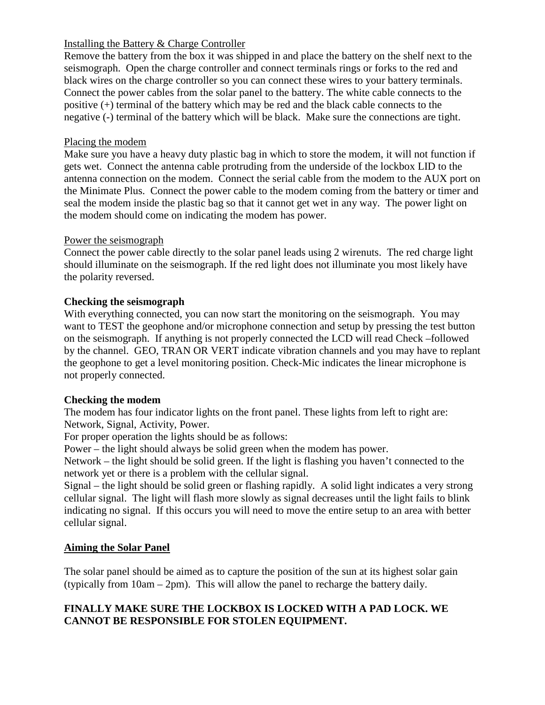## Installing the Battery & Charge Controller

Remove the battery from the box it was shipped in and place the battery on the shelf next to the seismograph. Open the charge controller and connect terminals rings or forks to the red and black wires on the charge controller so you can connect these wires to your battery terminals. Connect the power cables from the solar panel to the battery. The white cable connects to the positive (+) terminal of the battery which may be red and the black cable connects to the negative (-) terminal of the battery which will be black. Make sure the connections are tight.

## Placing the modem

Make sure you have a heavy duty plastic bag in which to store the modem, it will not function if gets wet. Connect the antenna cable protruding from the underside of the lockbox LID to the antenna connection on the modem. Connect the serial cable from the modem to the AUX port on the Minimate Plus. Connect the power cable to the modem coming from the battery or timer and seal the modem inside the plastic bag so that it cannot get wet in any way. The power light on the modem should come on indicating the modem has power.

## Power the seismograph

Connect the power cable directly to the solar panel leads using 2 wirenuts. The red charge light should illuminate on the seismograph. If the red light does not illuminate you most likely have the polarity reversed.

## **Checking the seismograph**

With everything connected, you can now start the monitoring on the seismograph. You may want to TEST the geophone and/or microphone connection and setup by pressing the test button on the seismograph. If anything is not properly connected the LCD will read Check –followed by the channel. GEO, TRAN OR VERT indicate vibration channels and you may have to replant the geophone to get a level monitoring position. Check-Mic indicates the linear microphone is not properly connected.

#### **Checking the modem**

The modem has four indicator lights on the front panel. These lights from left to right are: Network, Signal, Activity, Power.

For proper operation the lights should be as follows:

Power – the light should always be solid green when the modem has power.

Network – the light should be solid green. If the light is flashing you haven't connected to the network yet or there is a problem with the cellular signal.

Signal – the light should be solid green or flashing rapidly. A solid light indicates a very strong cellular signal. The light will flash more slowly as signal decreases until the light fails to blink indicating no signal. If this occurs you will need to move the entire setup to an area with better cellular signal.

## **Aiming the Solar Panel**

The solar panel should be aimed as to capture the position of the sun at its highest solar gain (typically from 10am – 2pm). This will allow the panel to recharge the battery daily.

## **FINALLY MAKE SURE THE LOCKBOX IS LOCKED WITH A PAD LOCK. WE CANNOT BE RESPONSIBLE FOR STOLEN EQUIPMENT.**